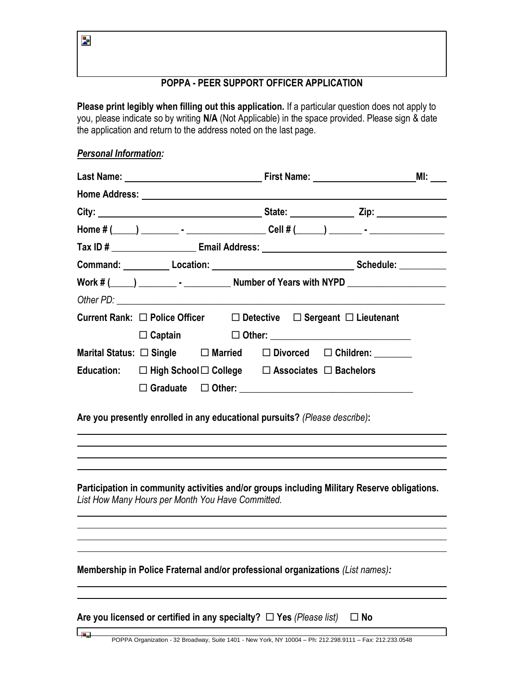ķ.

يوبا

## **POPPA - PEER SUPPORT OFFICER APPLICATION**

**Please print legibly when filling out this application.** If a particular question does not apply to you, please indicate so by writing **N/A** (Not Applicable) in the space provided. Please sign & date the application and return to the address noted on the last page.

## *Personal Information:*

|  |                                                             |                                                                               |  |  | Home # $($ $)$ $)$ $\cdots$ $\cdots$ $\cdots$ $\cdots$ $\cdots$ $\cdots$ $\cdots$ $\cdots$ $\cdots$ $\cdots$ $\cdots$ $\cdots$ $\cdots$ $\cdots$ $\cdots$ $\cdots$ |
|--|-------------------------------------------------------------|-------------------------------------------------------------------------------|--|--|--------------------------------------------------------------------------------------------------------------------------------------------------------------------|
|  |                                                             |                                                                               |  |  |                                                                                                                                                                    |
|  |                                                             |                                                                               |  |  | Command: Location: Location: Schedule: Command: Location: Location: Letter Management Communication                                                                |
|  |                                                             |                                                                               |  |  |                                                                                                                                                                    |
|  |                                                             |                                                                               |  |  |                                                                                                                                                                    |
|  |                                                             | Current Rank: □ Police Officer □ Detective □ Sergeant □ Lieutenant            |  |  |                                                                                                                                                                    |
|  |                                                             |                                                                               |  |  |                                                                                                                                                                    |
|  |                                                             | Marital Status: $\Box$ Single $\Box$ Married $\Box$ Divorced $\Box$ Children: |  |  |                                                                                                                                                                    |
|  | Education: □ High School □ College □ Associates □ Bachelors |                                                                               |  |  |                                                                                                                                                                    |
|  |                                                             |                                                                               |  |  |                                                                                                                                                                    |
|  |                                                             | Are you presently enrolled in any educational pursuits? (Please describe):    |  |  |                                                                                                                                                                    |

**Participation in community activities and/or groups including Military Reserve obligations.**  *List How Many Hours per Month You Have Committed.*

**Membership in Police Fraternal and/or professional organizations** *(List names):*

|  |  | Are you licensed or certified in any specialty? $\Box$ Yes (Please list) |  |  |  | $\Box$ No |
|--|--|--------------------------------------------------------------------------|--|--|--|-----------|
|--|--|--------------------------------------------------------------------------|--|--|--|-----------|